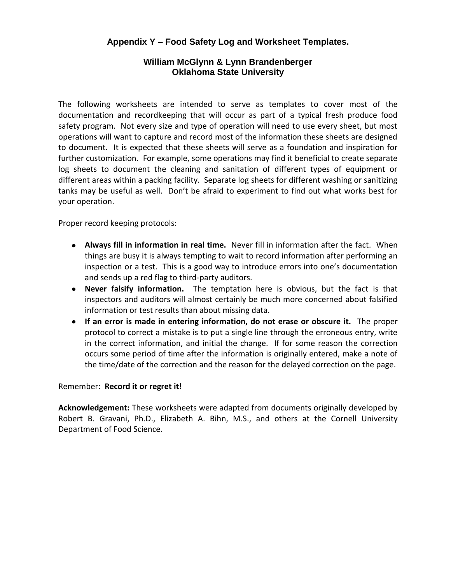#### **Appendix Y – Food Safety Log and Worksheet Templates.**

#### **William McGlynn & Lynn Brandenberger Oklahoma State University**

The following worksheets are intended to serve as templates to cover most of the documentation and recordkeeping that will occur as part of a typical fresh produce food safety program. Not every size and type of operation will need to use every sheet, but most operations will want to capture and record most of the information these sheets are designed to document. It is expected that these sheets will serve as a foundation and inspiration for further customization. For example, some operations may find it beneficial to create separate log sheets to document the cleaning and sanitation of different types of equipment or different areas within a packing facility. Separate log sheets for different washing or sanitizing tanks may be useful as well. Don't be afraid to experiment to find out what works best for your operation.

Proper record keeping protocols:

- **Always fill in information in real time.** Never fill in information after the fact. When things are busy it is always tempting to wait to record information after performing an inspection or a test. This is a good way to introduce errors into one's documentation and sends up a red flag to third-party auditors.
- **Never falsify information.** The temptation here is obvious, but the fact is that inspectors and auditors will almost certainly be much more concerned about falsified information or test results than about missing data.
- **If an error is made in entering information, do not erase or obscure it.** The proper protocol to correct a mistake is to put a single line through the erroneous entry, write in the correct information, and initial the change. If for some reason the correction occurs some period of time after the information is originally entered, make a note of the time/date of the correction and the reason for the delayed correction on the page.

#### Remember: **Record it or regret it!**

**Acknowledgement:** These worksheets were adapted from documents originally developed by Robert B. Gravani, Ph.D., Elizabeth A. Bihn, M.S., and others at the Cornell University Department of Food Science.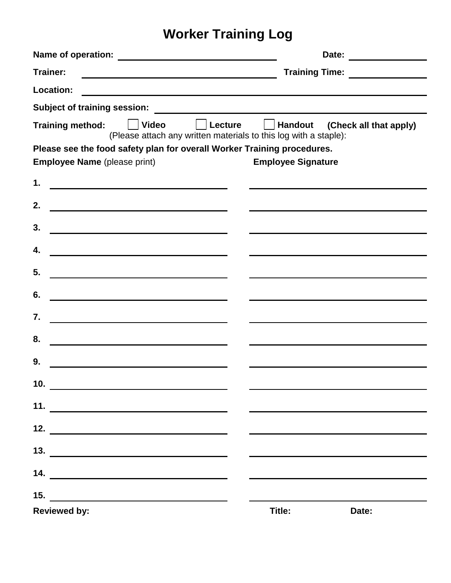# **Worker Training Log**

|                                                                                                                                    | Date: ______________                  |  |  |  |  |
|------------------------------------------------------------------------------------------------------------------------------------|---------------------------------------|--|--|--|--|
| Trainer:<br><u> 1980 - Johann Barn, mars ann an t-Amhain Aonaichte ann an t-Amhain Aonaichte ann an t-Amhain Aonaichte ann an</u>  | Training Time: ________________       |  |  |  |  |
| Location:<br><u> 1989 - Johann John Stoff, deutscher Stoffen und der Stoffen und der Stoffen und der Stoffen und der Stoffen</u>   |                                       |  |  |  |  |
| <b>Subject of training session:</b>                                                                                                |                                       |  |  |  |  |
| <b>Training method:</b><br>  Video<br><b>Example 1</b> Lecture<br>(Please attach any written materials to this log with a staple): | $\Box$ Handout (Check all that apply) |  |  |  |  |
| Please see the food safety plan for overall Worker Training procedures.                                                            |                                       |  |  |  |  |
| <b>Employee Name</b> (please print)                                                                                                | <b>Employee Signature</b>             |  |  |  |  |
| 1.                                                                                                                                 |                                       |  |  |  |  |
| 2.                                                                                                                                 |                                       |  |  |  |  |
| 3.<br><u> 1989 - Johann Barbara, martxa alemaniar arg</u>                                                                          |                                       |  |  |  |  |
| 4.<br><u> 1989 - Johann Barbara, martin amerikan basar dan basa dan basa dan basa dalam basa dalam basa dalam basa dan</u>         |                                       |  |  |  |  |
| 5.<br><u> 1980 - Johann Barbara, martin amerikan basar da</u>                                                                      |                                       |  |  |  |  |
| 6.<br><u> 1989 - Johann Barbara, martin amerikan basar da</u>                                                                      |                                       |  |  |  |  |
| 7.<br><u> 1980 - Johann John Stone, mars eta bat eta bat erroman erroman erroman erroman erroman erroman erroman erroma</u>        |                                       |  |  |  |  |
| 8.<br><u> 1980 - Johann Barbara, martxa alemaniar a</u>                                                                            |                                       |  |  |  |  |
| 9.<br><u> 1989 - Johann Barbara, martxa amerikan personal (h. 1989).</u>                                                           |                                       |  |  |  |  |
| 10. $\qquad \qquad$                                                                                                                |                                       |  |  |  |  |
| 11.<br><u> 1980 - Andrea Aonaichte ann an t-Aonaichte ann an t-Aonaichte ann an t-Aonaichte ann an t-Aonaichte ann an t-</u>       |                                       |  |  |  |  |
| $\begin{array}{c}\n\textbf{12.} \quad \textbf{---} \\ \end{array}$                                                                 |                                       |  |  |  |  |
| 13. $\qquad \qquad$                                                                                                                |                                       |  |  |  |  |
|                                                                                                                                    |                                       |  |  |  |  |
| 15.<br><u> 1989 - John Alexandri, martin amerikan bahasa per</u>                                                                   |                                       |  |  |  |  |
| <b>Reviewed by:</b>                                                                                                                | Title:<br>Date:                       |  |  |  |  |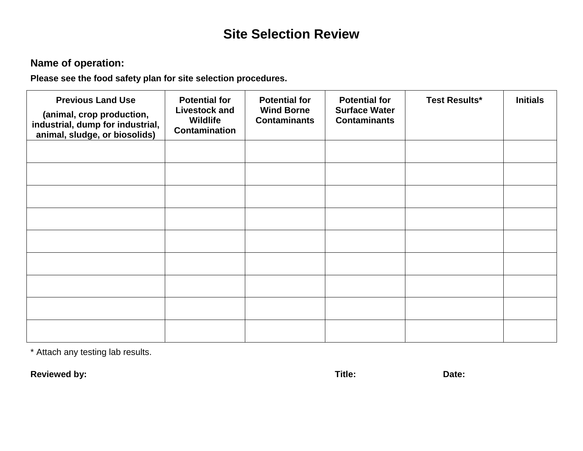### **Site Selection Review**

### **Name of operation:**

**Please see the food safety plan for site selection procedures.**

| <b>Previous Land Use</b><br>(animal, crop production,<br>industrial, dump for industrial,<br>animal, sludge, or biosolids) | <b>Potential for</b><br><b>Livestock and</b><br>Wildlife<br><b>Contamination</b> | <b>Potential for</b><br><b>Wind Borne</b><br><b>Contaminants</b> | <b>Potential for</b><br><b>Surface Water</b><br><b>Contaminants</b> | <b>Test Results*</b> | <b>Initials</b> |
|----------------------------------------------------------------------------------------------------------------------------|----------------------------------------------------------------------------------|------------------------------------------------------------------|---------------------------------------------------------------------|----------------------|-----------------|
|                                                                                                                            |                                                                                  |                                                                  |                                                                     |                      |                 |
|                                                                                                                            |                                                                                  |                                                                  |                                                                     |                      |                 |
|                                                                                                                            |                                                                                  |                                                                  |                                                                     |                      |                 |
|                                                                                                                            |                                                                                  |                                                                  |                                                                     |                      |                 |
|                                                                                                                            |                                                                                  |                                                                  |                                                                     |                      |                 |
|                                                                                                                            |                                                                                  |                                                                  |                                                                     |                      |                 |
|                                                                                                                            |                                                                                  |                                                                  |                                                                     |                      |                 |
|                                                                                                                            |                                                                                  |                                                                  |                                                                     |                      |                 |
|                                                                                                                            |                                                                                  |                                                                  |                                                                     |                      |                 |

\* Attach any testing lab results.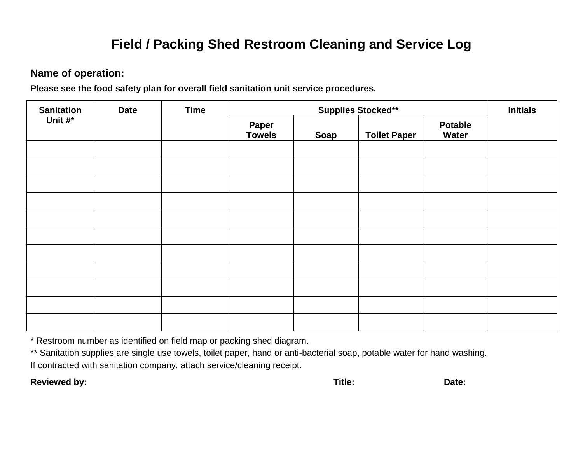### **Field / Packing Shed Restroom Cleaning and Service Log**

#### **Name of operation:**

**Please see the food safety plan for overall field sanitation unit service procedures.**

| <b>Sanitation</b> | <b>Date</b> | <b>Time</b> | <b>Supplies Stocked**</b> |      |                     |                                | <b>Initials</b> |
|-------------------|-------------|-------------|---------------------------|------|---------------------|--------------------------------|-----------------|
| Unit #*           |             |             | Paper<br><b>Towels</b>    | Soap | <b>Toilet Paper</b> | <b>Potable</b><br><b>Water</b> |                 |
|                   |             |             |                           |      |                     |                                |                 |
|                   |             |             |                           |      |                     |                                |                 |
|                   |             |             |                           |      |                     |                                |                 |
|                   |             |             |                           |      |                     |                                |                 |
|                   |             |             |                           |      |                     |                                |                 |
|                   |             |             |                           |      |                     |                                |                 |
|                   |             |             |                           |      |                     |                                |                 |
|                   |             |             |                           |      |                     |                                |                 |
|                   |             |             |                           |      |                     |                                |                 |
|                   |             |             |                           |      |                     |                                |                 |
|                   |             |             |                           |      |                     |                                |                 |

\* Restroom number as identified on field map or packing shed diagram.

\*\* Sanitation supplies are single use towels, toilet paper, hand or anti-bacterial soap, potable water for hand washing. If contracted with sanitation company, attach service/cleaning receipt.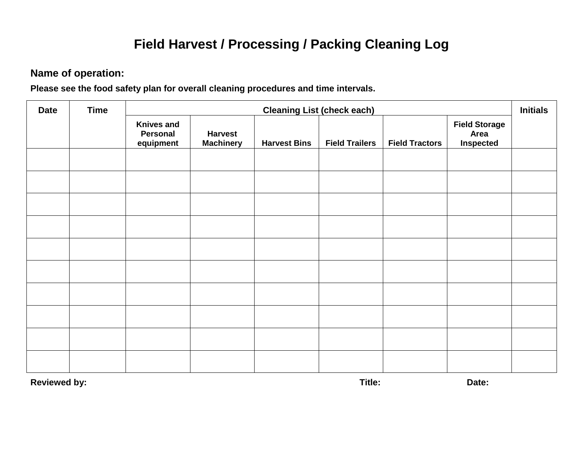# **Field Harvest / Processing / Packing Cleaning Log**

#### **Name of operation:**

**Please see the food safety plan for overall cleaning procedures and time intervals.**

| <b>Date</b> | <b>Time</b> |                                            | <b>Cleaning List (check each)</b>  |                     |                       |                       |                                                  |  |  |
|-------------|-------------|--------------------------------------------|------------------------------------|---------------------|-----------------------|-----------------------|--------------------------------------------------|--|--|
|             |             | <b>Knives and</b><br>Personal<br>equipment | <b>Harvest</b><br><b>Machinery</b> | <b>Harvest Bins</b> | <b>Field Trailers</b> | <b>Field Tractors</b> | <b>Field Storage</b><br>Area<br><b>Inspected</b> |  |  |
|             |             |                                            |                                    |                     |                       |                       |                                                  |  |  |
|             |             |                                            |                                    |                     |                       |                       |                                                  |  |  |
|             |             |                                            |                                    |                     |                       |                       |                                                  |  |  |
|             |             |                                            |                                    |                     |                       |                       |                                                  |  |  |
|             |             |                                            |                                    |                     |                       |                       |                                                  |  |  |
|             |             |                                            |                                    |                     |                       |                       |                                                  |  |  |
|             |             |                                            |                                    |                     |                       |                       |                                                  |  |  |
|             |             |                                            |                                    |                     |                       |                       |                                                  |  |  |
|             |             |                                            |                                    |                     |                       |                       |                                                  |  |  |
|             |             |                                            |                                    |                     |                       |                       |                                                  |  |  |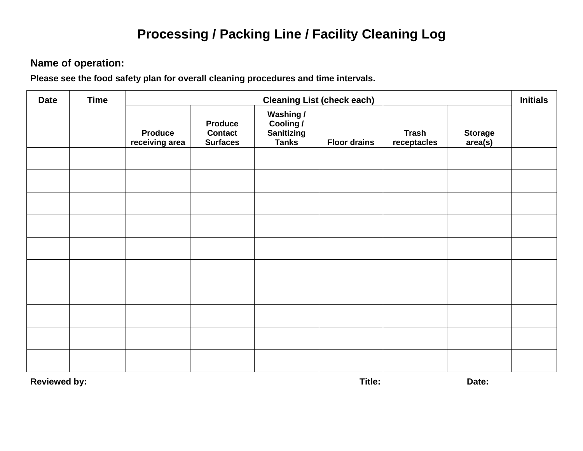### **Processing / Packing Line / Facility Cleaning Log**

### **Name of operation:**

**Please see the food safety plan for overall cleaning procedures and time intervals.**

| <b>Date</b> | <b>Time</b> |                                  | <b>Cleaning List (check each)</b>                   |                                                      |                     |                             |                           |  |  |
|-------------|-------------|----------------------------------|-----------------------------------------------------|------------------------------------------------------|---------------------|-----------------------------|---------------------------|--|--|
|             |             | <b>Produce</b><br>receiving area | <b>Produce</b><br><b>Contact</b><br><b>Surfaces</b> | Washing /<br>Cooling /<br>Sanitizing<br><b>Tanks</b> | <b>Floor drains</b> | <b>Trash</b><br>receptacles | <b>Storage</b><br>area(s) |  |  |
|             |             |                                  |                                                     |                                                      |                     |                             |                           |  |  |
|             |             |                                  |                                                     |                                                      |                     |                             |                           |  |  |
|             |             |                                  |                                                     |                                                      |                     |                             |                           |  |  |
|             |             |                                  |                                                     |                                                      |                     |                             |                           |  |  |
|             |             |                                  |                                                     |                                                      |                     |                             |                           |  |  |
|             |             |                                  |                                                     |                                                      |                     |                             |                           |  |  |
|             |             |                                  |                                                     |                                                      |                     |                             |                           |  |  |
|             |             |                                  |                                                     |                                                      |                     |                             |                           |  |  |
|             |             |                                  |                                                     |                                                      |                     |                             |                           |  |  |
|             |             |                                  |                                                     |                                                      |                     |                             |                           |  |  |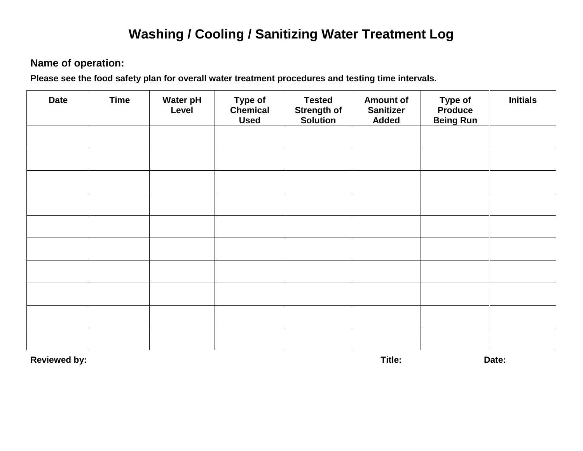### **Washing / Cooling / Sanitizing Water Treatment Log**

#### **Name of operation:**

**Please see the food safety plan for overall water treatment procedures and testing time intervals.**

| <b>Date</b> | <b>Time</b> | <b>Water pH</b><br>Level | <b>Type of</b><br><b>Chemical</b><br><b>Used</b> | <b>Tested</b><br><b>Strength of</b><br><b>Solution</b> | <b>Amount of</b><br><b>Sanitizer</b><br><b>Added</b> | Type of<br>Produce<br><b>Being Run</b> | <b>Initials</b> |
|-------------|-------------|--------------------------|--------------------------------------------------|--------------------------------------------------------|------------------------------------------------------|----------------------------------------|-----------------|
|             |             |                          |                                                  |                                                        |                                                      |                                        |                 |
|             |             |                          |                                                  |                                                        |                                                      |                                        |                 |
|             |             |                          |                                                  |                                                        |                                                      |                                        |                 |
|             |             |                          |                                                  |                                                        |                                                      |                                        |                 |
|             |             |                          |                                                  |                                                        |                                                      |                                        |                 |
|             |             |                          |                                                  |                                                        |                                                      |                                        |                 |
|             |             |                          |                                                  |                                                        |                                                      |                                        |                 |
|             |             |                          |                                                  |                                                        |                                                      |                                        |                 |
|             |             |                          |                                                  |                                                        |                                                      |                                        |                 |
|             |             |                          |                                                  |                                                        |                                                      |                                        |                 |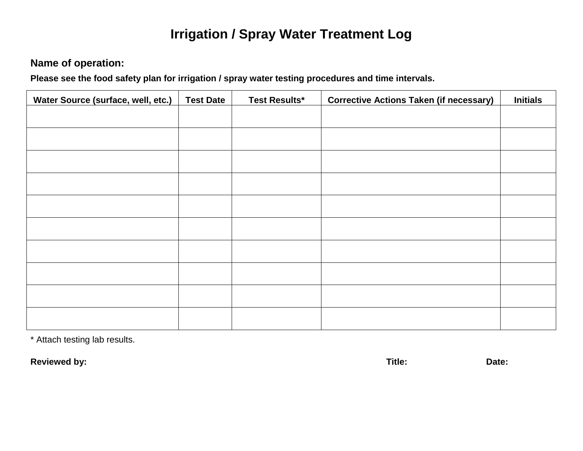### **Irrigation / Spray Water Treatment Log**

### **Name of operation:**

**Please see the food safety plan for irrigation / spray water testing procedures and time intervals.**

| Water Source (surface, well, etc.) | <b>Test Date</b> | <b>Test Results*</b> | <b>Corrective Actions Taken (if necessary)</b> | <b>Initials</b> |
|------------------------------------|------------------|----------------------|------------------------------------------------|-----------------|
|                                    |                  |                      |                                                |                 |
|                                    |                  |                      |                                                |                 |
|                                    |                  |                      |                                                |                 |
|                                    |                  |                      |                                                |                 |
|                                    |                  |                      |                                                |                 |
|                                    |                  |                      |                                                |                 |
|                                    |                  |                      |                                                |                 |
|                                    |                  |                      |                                                |                 |
|                                    |                  |                      |                                                |                 |
|                                    |                  |                      |                                                |                 |

\* Attach testing lab results.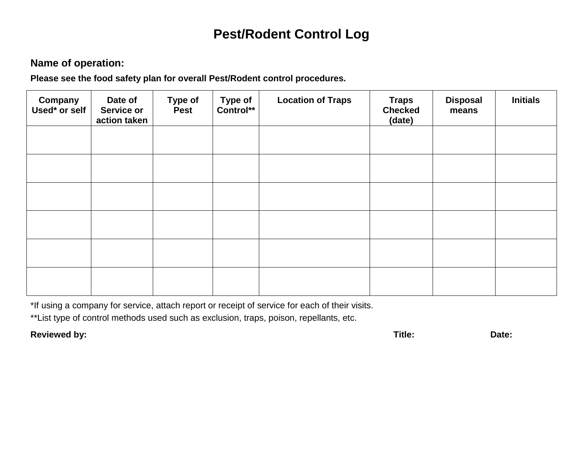### **Pest/Rodent Control Log**

#### **Name of operation:**

**Please see the food safety plan for overall Pest/Rodent control procedures.**

| Company<br>Used* or self | Date of<br><b>Service or</b><br>action taken | <b>Type of</b><br><b>Pest</b> | <b>Type of</b><br>Control** | <b>Location of Traps</b> | <b>Traps</b><br><b>Checked</b><br>(date) | <b>Disposal</b><br>means | <b>Initials</b> |
|--------------------------|----------------------------------------------|-------------------------------|-----------------------------|--------------------------|------------------------------------------|--------------------------|-----------------|
|                          |                                              |                               |                             |                          |                                          |                          |                 |
|                          |                                              |                               |                             |                          |                                          |                          |                 |
|                          |                                              |                               |                             |                          |                                          |                          |                 |
|                          |                                              |                               |                             |                          |                                          |                          |                 |
|                          |                                              |                               |                             |                          |                                          |                          |                 |
|                          |                                              |                               |                             |                          |                                          |                          |                 |

\*If using a company for service, attach report or receipt of service for each of their visits.

\*\*List type of control methods used such as exclusion, traps, poison, repellants, etc.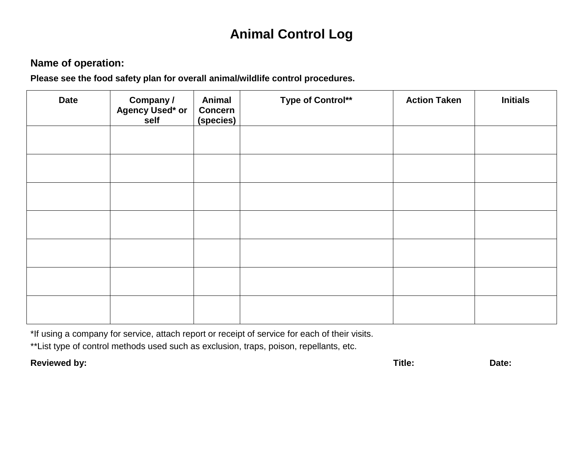### **Animal Control Log**

#### **Name of operation:**

**Please see the food safety plan for overall animal/wildlife control procedures.**

| <b>Date</b> | <b>Company /<br/>Agency Used* or</b><br>self | Animal<br><b>Concern</b><br>(species) | Type of Control** | <b>Action Taken</b> | <b>Initials</b> |
|-------------|----------------------------------------------|---------------------------------------|-------------------|---------------------|-----------------|
|             |                                              |                                       |                   |                     |                 |
|             |                                              |                                       |                   |                     |                 |
|             |                                              |                                       |                   |                     |                 |
|             |                                              |                                       |                   |                     |                 |
|             |                                              |                                       |                   |                     |                 |
|             |                                              |                                       |                   |                     |                 |
|             |                                              |                                       |                   |                     |                 |

\*If using a company for service, attach report or receipt of service for each of their visits.

\*\*List type of control methods used such as exclusion, traps, poison, repellants, etc.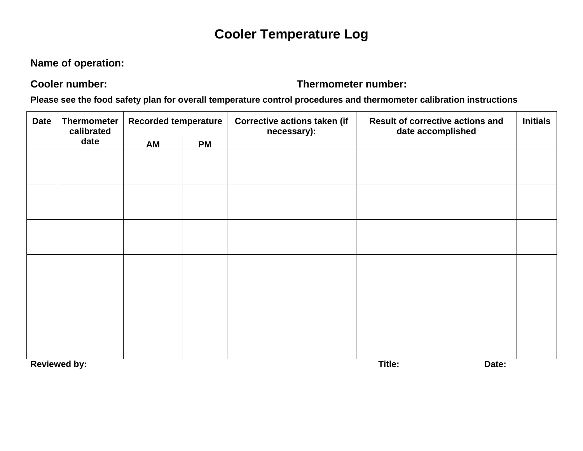### **Cooler Temperature Log**

### **Name of operation:**

#### **Cooler number: Thermometer number:**

**Please see the food safety plan for overall temperature control procedures and thermometer calibration instructions**

| <b>Date</b> | <b>Thermometer</b><br>calibrated |    | <b>Recorded temperature</b> |  | <b>Corrective actions taken (if</b><br>necessary): | <b>Result of corrective actions and</b><br>date accomplished | <b>Initials</b> |
|-------------|----------------------------------|----|-----------------------------|--|----------------------------------------------------|--------------------------------------------------------------|-----------------|
|             | date                             | AM | <b>PM</b>                   |  |                                                    |                                                              |                 |
|             |                                  |    |                             |  |                                                    |                                                              |                 |
|             |                                  |    |                             |  |                                                    |                                                              |                 |
|             |                                  |    |                             |  |                                                    |                                                              |                 |
|             |                                  |    |                             |  |                                                    |                                                              |                 |
|             |                                  |    |                             |  |                                                    |                                                              |                 |
|             |                                  |    |                             |  |                                                    |                                                              |                 |
|             |                                  |    |                             |  |                                                    |                                                              |                 |
|             |                                  |    |                             |  |                                                    |                                                              |                 |
|             |                                  |    |                             |  |                                                    |                                                              |                 |
|             |                                  |    |                             |  |                                                    |                                                              |                 |
|             |                                  |    |                             |  |                                                    |                                                              |                 |
|             |                                  |    |                             |  |                                                    |                                                              |                 |
|             | <b>Reviewed by:</b>              |    |                             |  | Title:<br>Date:                                    |                                                              |                 |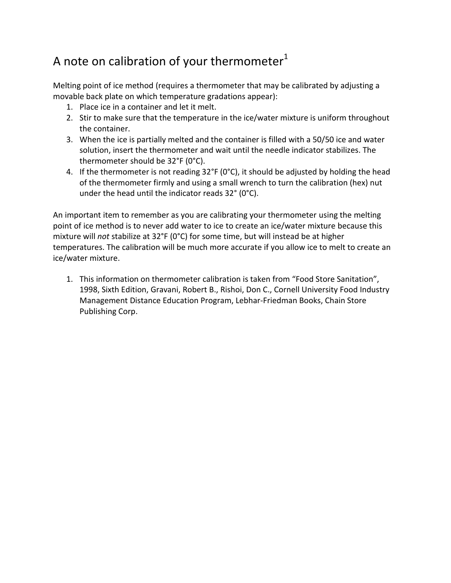### A note on calibration of your thermometer $1$

Melting point of ice method (requires a thermometer that may be calibrated by adjusting a movable back plate on which temperature gradations appear):

- 1. Place ice in a container and let it melt.
- 2. Stir to make sure that the temperature in the ice/water mixture is uniform throughout the container.
- 3. When the ice is partially melted and the container is filled with a 50/50 ice and water solution, insert the thermometer and wait until the needle indicator stabilizes. The thermometer should be 32°F (0°C).
- 4. If the thermometer is not reading 32°F (0°C), it should be adjusted by holding the head of the thermometer firmly and using a small wrench to turn the calibration (hex) nut under the head until the indicator reads 32° (0°C).

An important item to remember as you are calibrating your thermometer using the melting point of ice method is to never add water to ice to create an ice/water mixture because this mixture will *not* stabilize at 32°F (0°C) for some time, but will instead be at higher temperatures. The calibration will be much more accurate if you allow ice to melt to create an ice/water mixture.

1. This information on thermometer calibration is taken from "Food Store Sanitation", 1998, Sixth Edition, Gravani, Robert B., Rishoi, Don C., Cornell University Food Industry Management Distance Education Program, Lebhar-Friedman Books, Chain Store Publishing Corp.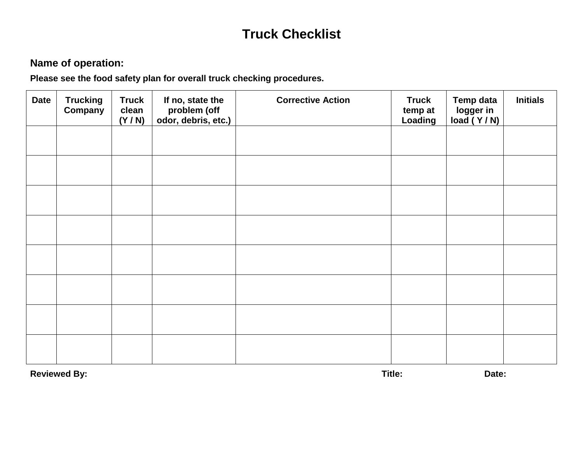# **Truck Checklist**

### **Name of operation:**

**Please see the food safety plan for overall truck checking procedures.**

| <b>Date</b> | <b>Trucking</b><br>Company | <b>Truck</b><br>clean<br>(Y/N) | If no, state the<br>problem (off<br>odor, debris, etc.) | <b>Corrective Action</b> | <b>Truck</b><br>temp at<br>Loading | <b>Temp data</b><br>logger in<br>load (Y/N) | <b>Initials</b> |
|-------------|----------------------------|--------------------------------|---------------------------------------------------------|--------------------------|------------------------------------|---------------------------------------------|-----------------|
|             |                            |                                |                                                         |                          |                                    |                                             |                 |
|             |                            |                                |                                                         |                          |                                    |                                             |                 |
|             |                            |                                |                                                         |                          |                                    |                                             |                 |
|             |                            |                                |                                                         |                          |                                    |                                             |                 |
|             |                            |                                |                                                         |                          |                                    |                                             |                 |
|             |                            |                                |                                                         |                          |                                    |                                             |                 |
|             |                            |                                |                                                         |                          |                                    |                                             |                 |
|             |                            |                                |                                                         |                          |                                    |                                             |                 |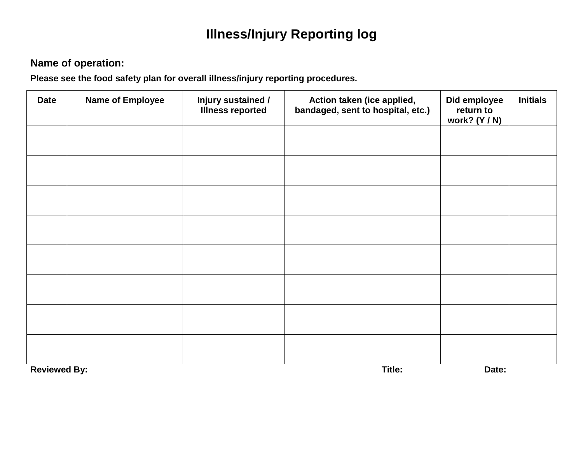# **Illness/Injury Reporting log**

### **Name of operation:**

**Please see the food safety plan for overall illness/injury reporting procedures.**

| <b>Date</b>         | <b>Name of Employee</b> | Injury sustained /<br><b>Illness reported</b> | Action taken (ice applied,<br>bandaged, sent to hospital, etc.) | Did employee<br>return to<br>work? (Y / N) | <b>Initials</b> |
|---------------------|-------------------------|-----------------------------------------------|-----------------------------------------------------------------|--------------------------------------------|-----------------|
|                     |                         |                                               |                                                                 |                                            |                 |
|                     |                         |                                               |                                                                 |                                            |                 |
|                     |                         |                                               |                                                                 |                                            |                 |
|                     |                         |                                               |                                                                 |                                            |                 |
|                     |                         |                                               |                                                                 |                                            |                 |
|                     |                         |                                               |                                                                 |                                            |                 |
|                     |                         |                                               |                                                                 |                                            |                 |
|                     |                         |                                               |                                                                 |                                            |                 |
| <b>Reviewed By:</b> |                         |                                               | Title:                                                          | Date:                                      |                 |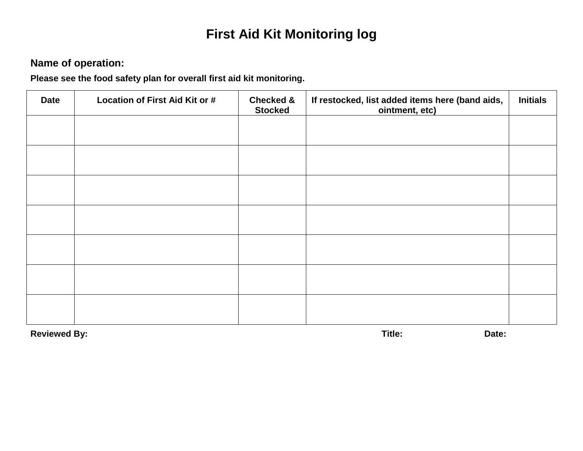# **First Aid Kit Monitoring log**

### **Name of operation:**

**Please see the food safety plan for overall first aid kit monitoring.**

| <b>Date</b> | Location of First Aid Kit or # | <b>Checked &amp;</b><br><b>Stocked</b> | If restocked, list added items here (band aids,<br>ointment, etc) | <b>Initials</b> |
|-------------|--------------------------------|----------------------------------------|-------------------------------------------------------------------|-----------------|
|             |                                |                                        |                                                                   |                 |
|             |                                |                                        |                                                                   |                 |
|             |                                |                                        |                                                                   |                 |
|             |                                |                                        |                                                                   |                 |
|             |                                |                                        |                                                                   |                 |
|             |                                |                                        |                                                                   |                 |
|             |                                |                                        |                                                                   |                 |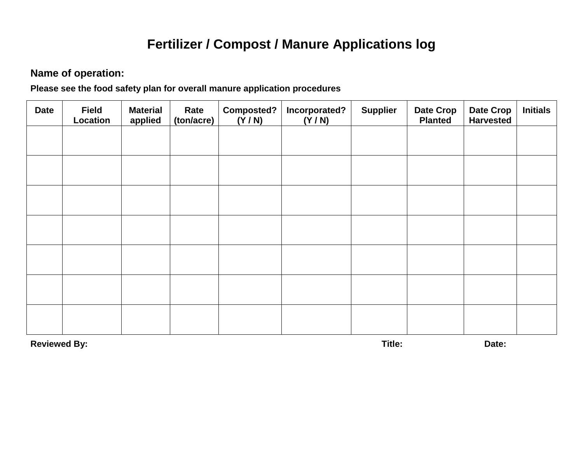### **Fertilizer / Compost / Manure Applications log**

#### **Name of operation:**

**Please see the food safety plan for overall manure application procedures**

| <b>Date</b> | <b>Field</b><br>Location | <b>Material</b><br>applied | Rate<br>(ton/acre) | Composted?<br>(Y/N) | Incorporated?<br>(Y/N) | <b>Supplier</b> | Date Crop<br><b>Planted</b> | <b>Date Crop</b><br><b>Harvested</b> | <b>Initials</b> |
|-------------|--------------------------|----------------------------|--------------------|---------------------|------------------------|-----------------|-----------------------------|--------------------------------------|-----------------|
|             |                          |                            |                    |                     |                        |                 |                             |                                      |                 |
|             |                          |                            |                    |                     |                        |                 |                             |                                      |                 |
|             |                          |                            |                    |                     |                        |                 |                             |                                      |                 |
|             |                          |                            |                    |                     |                        |                 |                             |                                      |                 |
|             |                          |                            |                    |                     |                        |                 |                             |                                      |                 |
|             |                          |                            |                    |                     |                        |                 |                             |                                      |                 |
|             |                          |                            |                    |                     |                        |                 |                             |                                      |                 |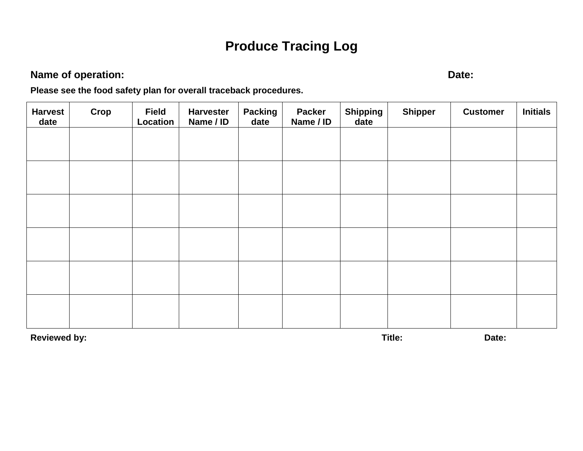# **Produce Tracing Log**

### **Name of operation: Date:**

**Please see the food safety plan for overall traceback procedures.**

| <b>Harvest</b><br>date | Crop | <b>Field</b><br>Location | <b>Harvester</b><br>Name / ID | <b>Packing</b><br>date | <b>Packer</b><br>Name / ID | <b>Shipping</b><br>date | <b>Shipper</b> | <b>Customer</b> | <b>Initials</b> |
|------------------------|------|--------------------------|-------------------------------|------------------------|----------------------------|-------------------------|----------------|-----------------|-----------------|
|                        |      |                          |                               |                        |                            |                         |                |                 |                 |
|                        |      |                          |                               |                        |                            |                         |                |                 |                 |
|                        |      |                          |                               |                        |                            |                         |                |                 |                 |
|                        |      |                          |                               |                        |                            |                         |                |                 |                 |
|                        |      |                          |                               |                        |                            |                         |                |                 |                 |
|                        |      |                          |                               |                        |                            |                         |                |                 |                 |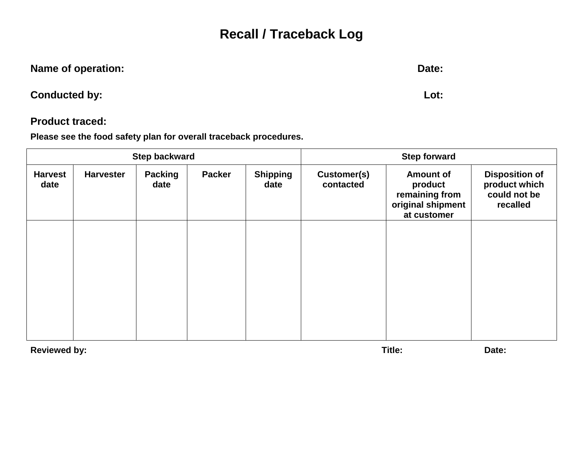### **Recall / Traceback Log**

| Name of operation: | Date: |
|--------------------|-------|
|                    |       |

**Conducted by: Lot:**

#### **Product traced:**

**Please see the food safety plan for overall traceback procedures.**

|                        |                  | <b>Step backward</b>   |               | <b>Step forward</b>     |                          |                                                                                   |                                                                    |
|------------------------|------------------|------------------------|---------------|-------------------------|--------------------------|-----------------------------------------------------------------------------------|--------------------------------------------------------------------|
| <b>Harvest</b><br>date | <b>Harvester</b> | <b>Packing</b><br>date | <b>Packer</b> | <b>Shipping</b><br>date | Customer(s)<br>contacted | <b>Amount of</b><br>product<br>remaining from<br>original shipment<br>at customer | <b>Disposition of</b><br>product which<br>could not be<br>recalled |
|                        |                  |                        |               |                         |                          |                                                                                   |                                                                    |